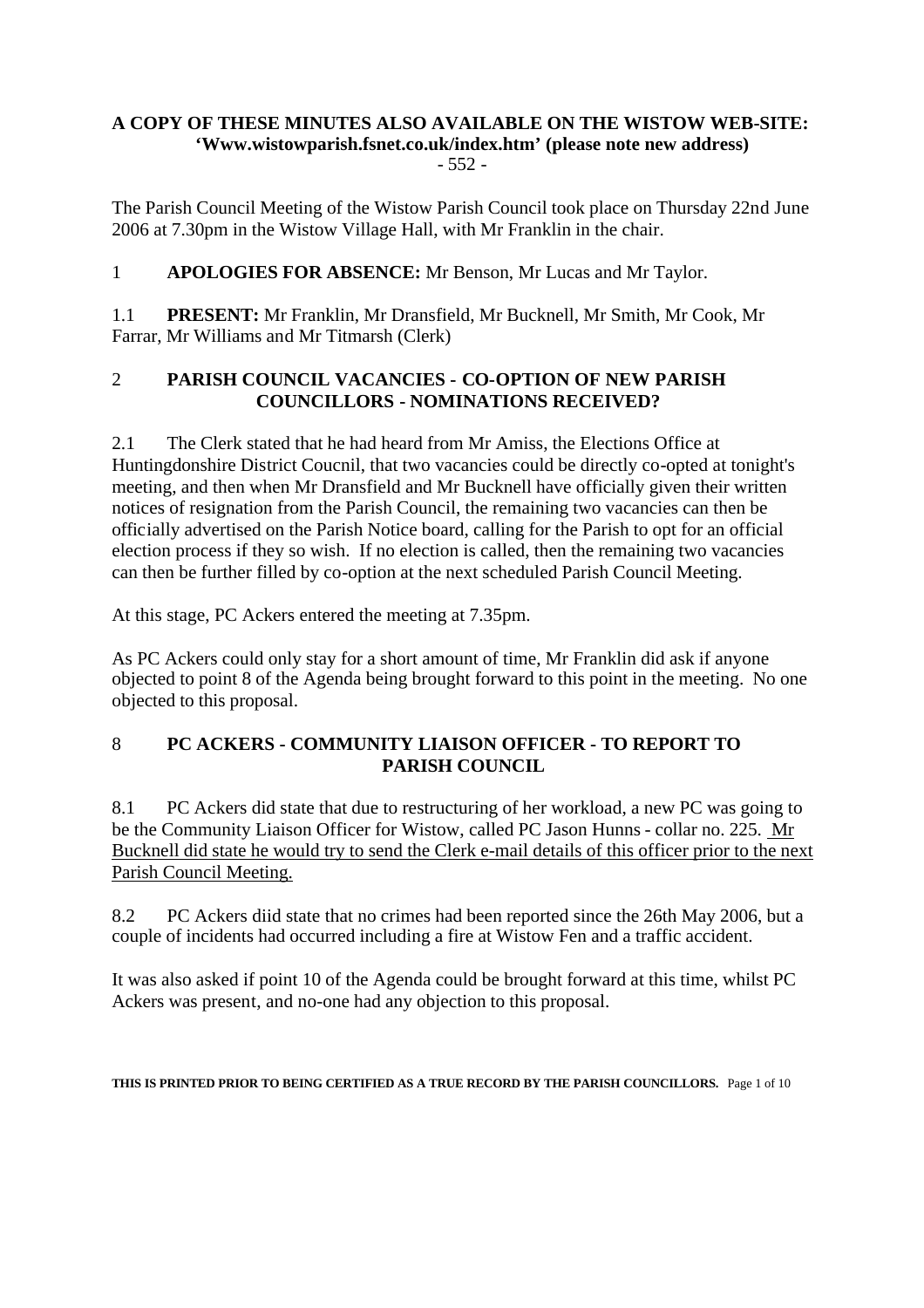#### **A COPY OF THESE MINUTES ALSO AVAILABLE ON THE WISTOW WEB-SITE: 'Www.wistowparish.fsnet.co.uk/index.htm' (please note new address)** - 552 -

The Parish Council Meeting of the Wistow Parish Council took place on Thursday 22nd June 2006 at 7.30pm in the Wistow Village Hall, with Mr Franklin in the chair.

1 **APOLOGIES FOR ABSENCE:** Mr Benson, Mr Lucas and Mr Taylor.

1.1 **PRESENT:** Mr Franklin, Mr Dransfield, Mr Bucknell, Mr Smith, Mr Cook, Mr Farrar, Mr Williams and Mr Titmarsh (Clerk)

## 2 **PARISH COUNCIL VACANCIES - CO-OPTION OF NEW PARISH COUNCILLORS - NOMINATIONS RECEIVED?**

2.1 The Clerk stated that he had heard from Mr Amiss, the Elections Office at Huntingdonshire District Coucnil, that two vacancies could be directly co-opted at tonight's meeting, and then when Mr Dransfield and Mr Bucknell have officially given their written notices of resignation from the Parish Council, the remaining two vacancies can then be officially advertised on the Parish Notice board, calling for the Parish to opt for an official election process if they so wish. If no election is called, then the remaining two vacancies can then be further filled by co-option at the next scheduled Parish Council Meeting.

At this stage, PC Ackers entered the meeting at 7.35pm.

As PC Ackers could only stay for a short amount of time, Mr Franklin did ask if anyone objected to point 8 of the Agenda being brought forward to this point in the meeting. No one objected to this proposal.

## 8 **PC ACKERS - COMMUNITY LIAISON OFFICER - TO REPORT TO PARISH COUNCIL**

8.1 PC Ackers did state that due to restructuring of her workload, a new PC was going to be the Community Liaison Officer for Wistow, called PC Jason Hunns - collar no. 225. Mr Bucknell did state he would try to send the Clerk e-mail details of this officer prior to the next Parish Council Meeting.

8.2 PC Ackers diid state that no crimes had been reported since the 26th May 2006, but a couple of incidents had occurred including a fire at Wistow Fen and a traffic accident.

It was also asked if point 10 of the Agenda could be brought forward at this time, whilst PC Ackers was present, and no-one had any objection to this proposal.

**THIS IS PRINTED PRIOR TO BEING CERTIFIED AS A TRUE RECORD BY THE PARISH COUNCILLORS.** Page 1 of 10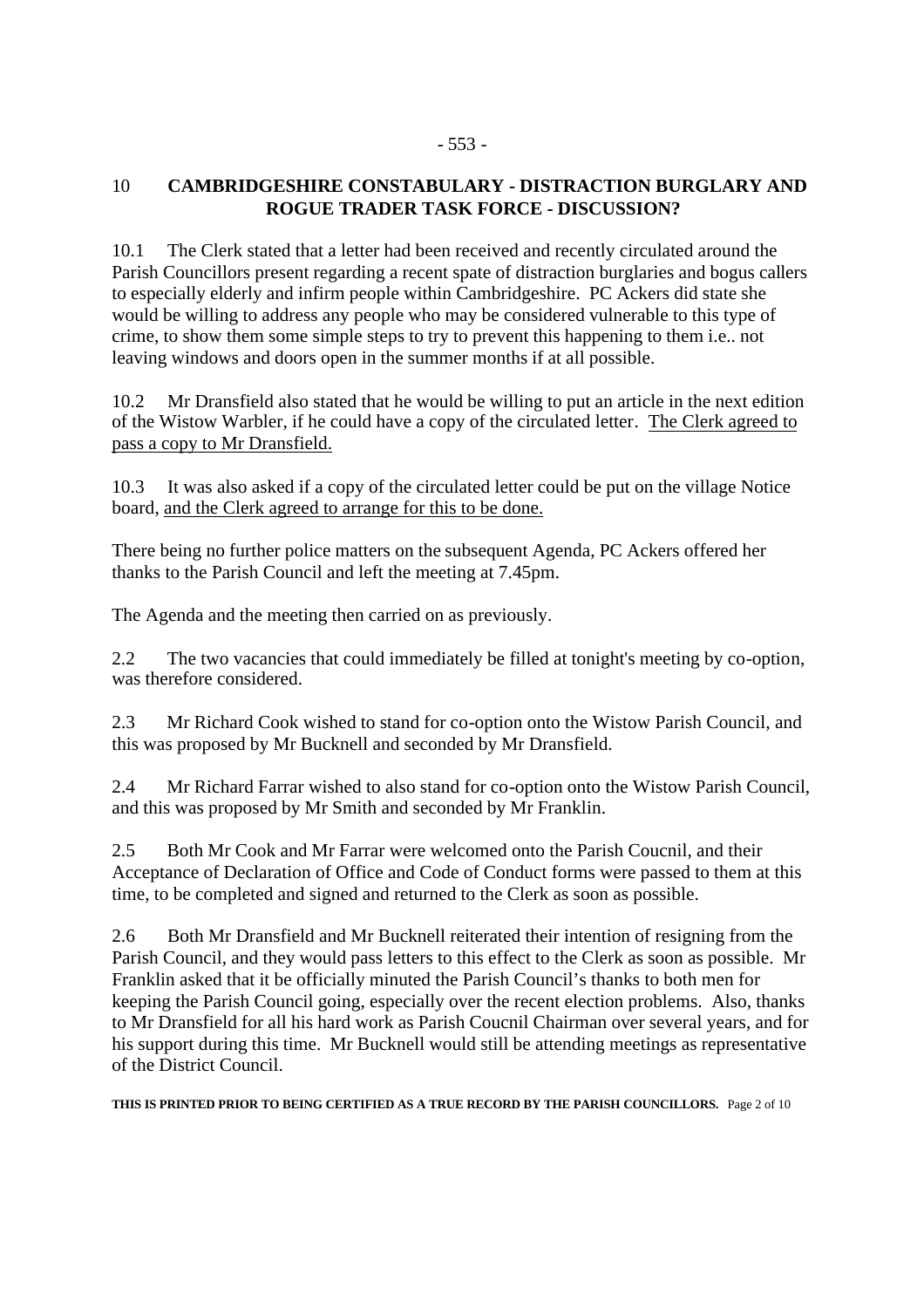#### - 553 -

## 10 **CAMBRIDGESHIRE CONSTABULARY - DISTRACTION BURGLARY AND ROGUE TRADER TASK FORCE - DISCUSSION?**

10.1 The Clerk stated that a letter had been received and recently circulated around the Parish Councillors present regarding a recent spate of distraction burglaries and bogus callers to especially elderly and infirm people within Cambridgeshire. PC Ackers did state she would be willing to address any people who may be considered vulnerable to this type of crime, to show them some simple steps to try to prevent this happening to them i.e.. not leaving windows and doors open in the summer months if at all possible.

10.2 Mr Dransfield also stated that he would be willing to put an article in the next edition of the Wistow Warbler, if he could have a copy of the circulated letter. The Clerk agreed to pass a copy to Mr Dransfield.

10.3 It was also asked if a copy of the circulated letter could be put on the village Notice board, and the Clerk agreed to arrange for this to be done.

There being no further police matters on the subsequent Agenda, PC Ackers offered her thanks to the Parish Council and left the meeting at 7.45pm.

The Agenda and the meeting then carried on as previously.

2.2 The two vacancies that could immediately be filled at tonight's meeting by co-option, was therefore considered.

2.3 Mr Richard Cook wished to stand for co-option onto the Wistow Parish Council, and this was proposed by Mr Bucknell and seconded by Mr Dransfield.

2.4 Mr Richard Farrar wished to also stand for co-option onto the Wistow Parish Council, and this was proposed by Mr Smith and seconded by Mr Franklin.

2.5 Both Mr Cook and Mr Farrar were welcomed onto the Parish Coucnil, and their Acceptance of Declaration of Office and Code of Conduct forms were passed to them at this time, to be completed and signed and returned to the Clerk as soon as possible.

2.6 Both Mr Dransfield and Mr Bucknell reiterated their intention of resigning from the Parish Council, and they would pass letters to this effect to the Clerk as soon as possible. Mr Franklin asked that it be officially minuted the Parish Council's thanks to both men for keeping the Parish Council going, especially over the recent election problems. Also, thanks to Mr Dransfield for all his hard work as Parish Coucnil Chairman over several years, and for his support during this time. Mr Bucknell would still be attending meetings as representative of the District Council.

**THIS IS PRINTED PRIOR TO BEING CERTIFIED AS A TRUE RECORD BY THE PARISH COUNCILLORS.** Page 2 of 10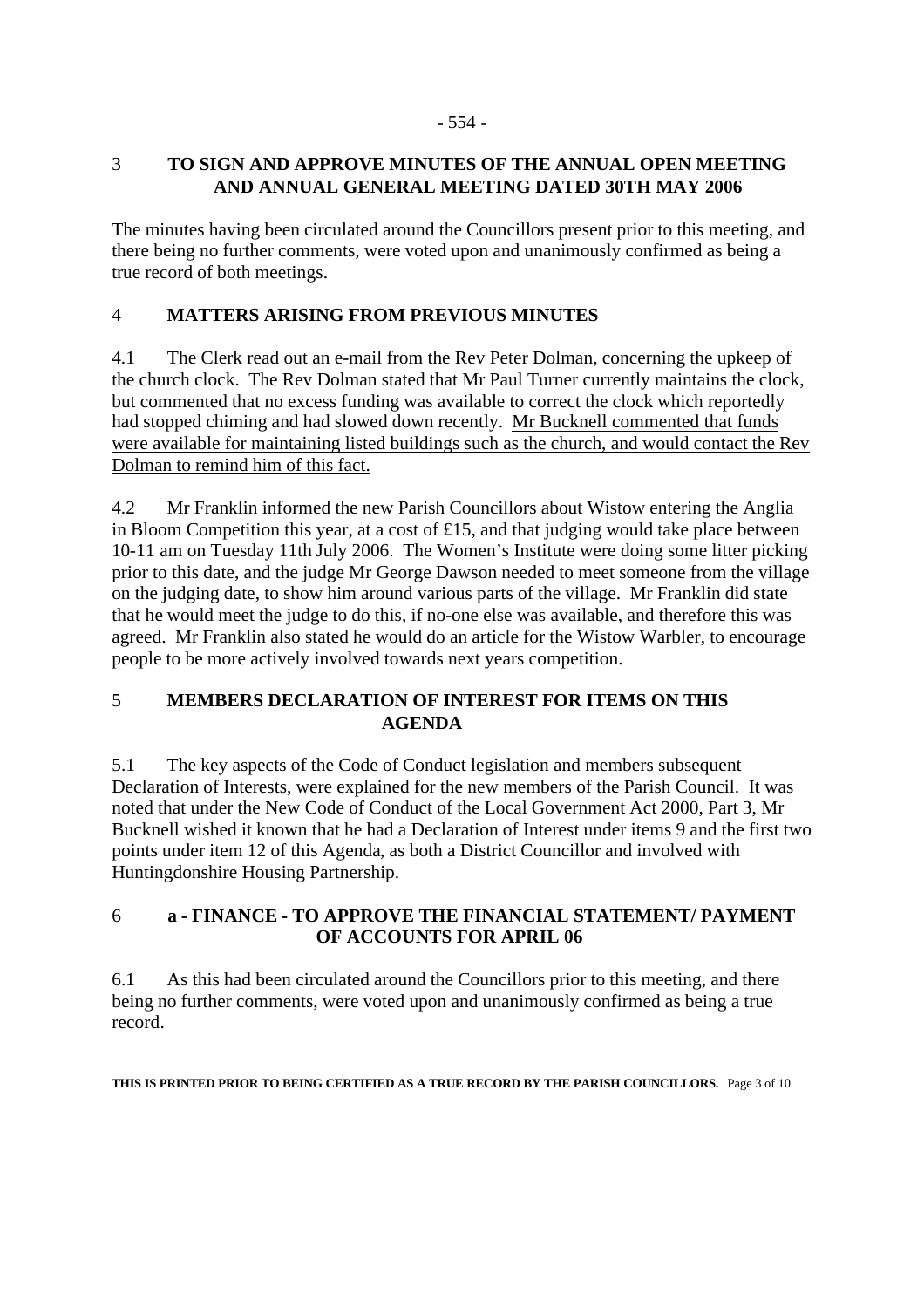## 3 **TO SIGN AND APPROVE MINUTES OF THE ANNUAL OPEN MEETING AND ANNUAL GENERAL MEETING DATED 30TH MAY 2006**

The minutes having been circulated around the Councillors present prior to this meeting, and there being no further comments, were voted upon and unanimously confirmed as being a true record of both meetings.

## 4 **MATTERS ARISING FROM PREVIOUS MINUTES**

4.1 The Clerk read out an e-mail from the Rev Peter Dolman, concerning the upkeep of the church clock. The Rev Dolman stated that Mr Paul Turner currently maintains the clock, but commented that no excess funding was available to correct the clock which reportedly had stopped chiming and had slowed down recently. Mr Bucknell commented that funds were available for maintaining listed buildings such as the church, and would contact the Rev Dolman to remind him of this fact.

4.2 Mr Franklin informed the new Parish Councillors about Wistow entering the Anglia in Bloom Competition this year, at a cost of £15, and that judging would take place between 10-11 am on Tuesday 11th July 2006. The Women's Institute were doing some litter picking prior to this date, and the judge Mr George Dawson needed to meet someone from the village on the judging date, to show him around various parts of the village. Mr Franklin did state that he would meet the judge to do this, if no-one else was available, and therefore this was agreed. Mr Franklin also stated he would do an article for the Wistow Warbler, to encourage people to be more actively involved towards next years competition.

## 5 **MEMBERS DECLARATION OF INTEREST FOR ITEMS ON THIS AGENDA**

5.1 The key aspects of the Code of Conduct legislation and members subsequent Declaration of Interests, were explained for the new members of the Parish Council. It was noted that under the New Code of Conduct of the Local Government Act 2000, Part 3, Mr Bucknell wished it known that he had a Declaration of Interest under items 9 and the first two points under item 12 of this Agenda, as both a District Councillor and involved with Huntingdonshire Housing Partnership.

## 6 **a - FINANCE - TO APPROVE THE FINANCIAL STATEMENT/ PAYMENT OF ACCOUNTS FOR APRIL 06**

6.1 As this had been circulated around the Councillors prior to this meeting, and there being no further comments, were voted upon and unanimously confirmed as being a true record.

**THIS IS PRINTED PRIOR TO BEING CERTIFIED AS A TRUE RECORD BY THE PARISH COUNCILLORS.** Page 3 of 10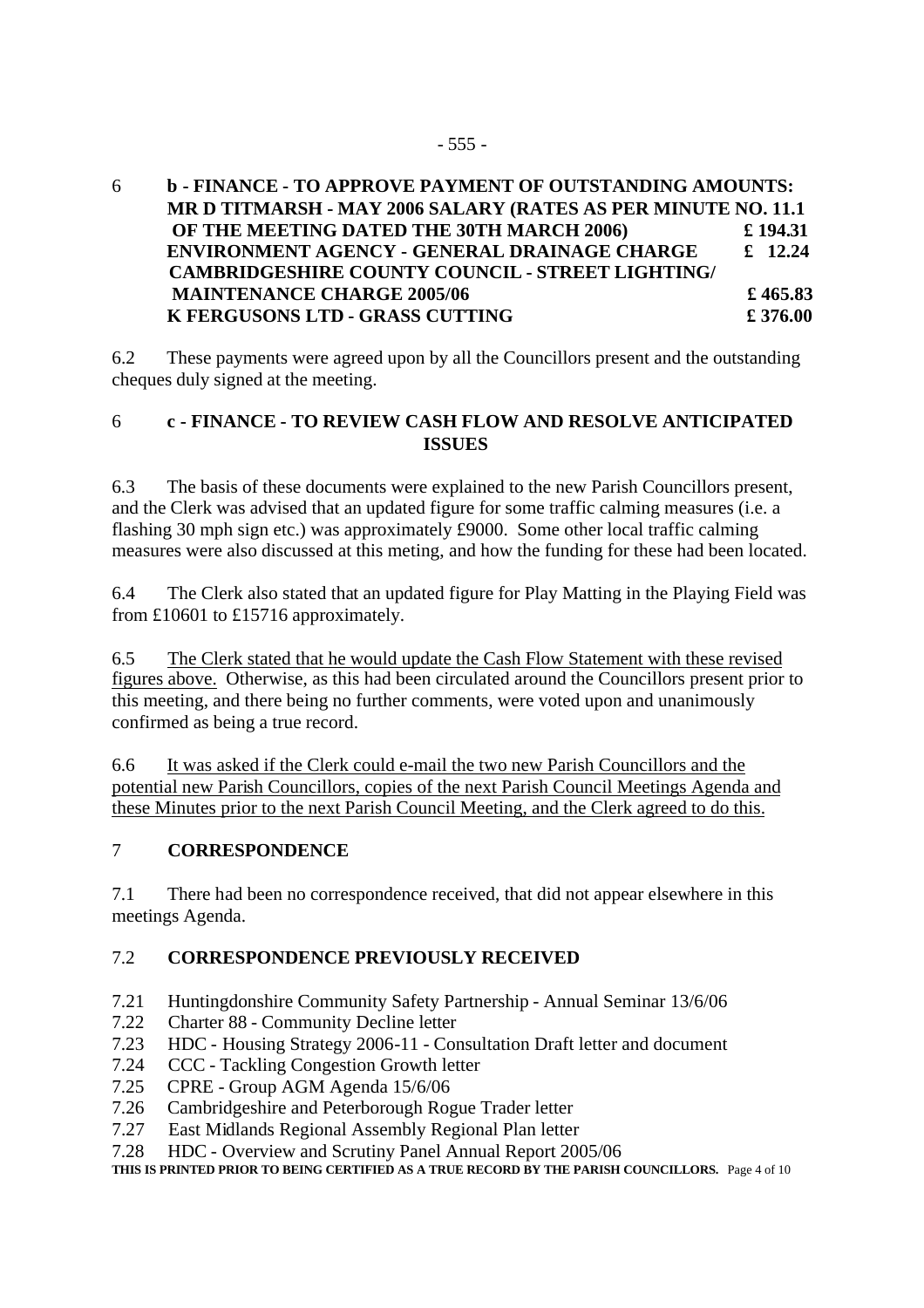6 **b - FINANCE - TO APPROVE PAYMENT OF OUTSTANDING AMOUNTS: MR D TITMARSH - MAY 2006 SALARY (RATES AS PER MINUTE NO. 11.1 OF THE MEETING DATED THE 30TH MARCH 2006) £ 194.31 ENVIRONMENT AGENCY - GENERAL DRAINAGE CHARGE £ 12.24 CAMBRIDGESHIRE COUNTY COUNCIL - STREET LIGHTING/ MAINTENANCE CHARGE 2005/06**  $\qquad$  **£ 465.83 K FERGUSONS LTD - GRASS CUTTING £ 376.00**

6.2 These payments were agreed upon by all the Councillors present and the outstanding cheques duly signed at the meeting.

#### 6 **c - FINANCE - TO REVIEW CASH FLOW AND RESOLVE ANTICIPATED ISSUES**

6.3 The basis of these documents were explained to the new Parish Councillors present, and the Clerk was advised that an updated figure for some traffic calming measures (i.e. a flashing 30 mph sign etc.) was approximately £9000. Some other local traffic calming measures were also discussed at this meting, and how the funding for these had been located.

6.4 The Clerk also stated that an updated figure for Play Matting in the Playing Field was from £10601 to £15716 approximately.

6.5 The Clerk stated that he would update the Cash Flow Statement with these revised figures above. Otherwise, as this had been circulated around the Councillors present prior to this meeting, and there being no further comments, were voted upon and unanimously confirmed as being a true record.

6.6 It was asked if the Clerk could e-mail the two new Parish Councillors and the potential new Parish Councillors, copies of the next Parish Council Meetings Agenda and these Minutes prior to the next Parish Council Meeting, and the Clerk agreed to do this.

#### 7 **CORRESPONDENCE**

7.1 There had been no correspondence received, that did not appear elsewhere in this meetings Agenda.

#### 7.2 **CORRESPONDENCE PREVIOUSLY RECEIVED**

- 7.21 Huntingdonshire Community Safety Partnership Annual Seminar 13/6/06
- 7.22 Charter 88 Community Decline letter
- 7.23 HDC Housing Strategy 2006-11 Consultation Draft letter and document
- 7.24 CCC Tackling Congestion Growth letter
- 7.25 CPRE Group AGM Agenda 15/6/06
- 7.26 Cambridgeshire and Peterborough Rogue Trader letter
- 7.27 East Midlands Regional Assembly Regional Plan letter
- 7.28 HDC Overview and Scrutiny Panel Annual Report 2005/06

**THIS IS PRINTED PRIOR TO BEING CERTIFIED AS A TRUE RECORD BY THE PARISH COUNCILLORS.** Page 4 of 10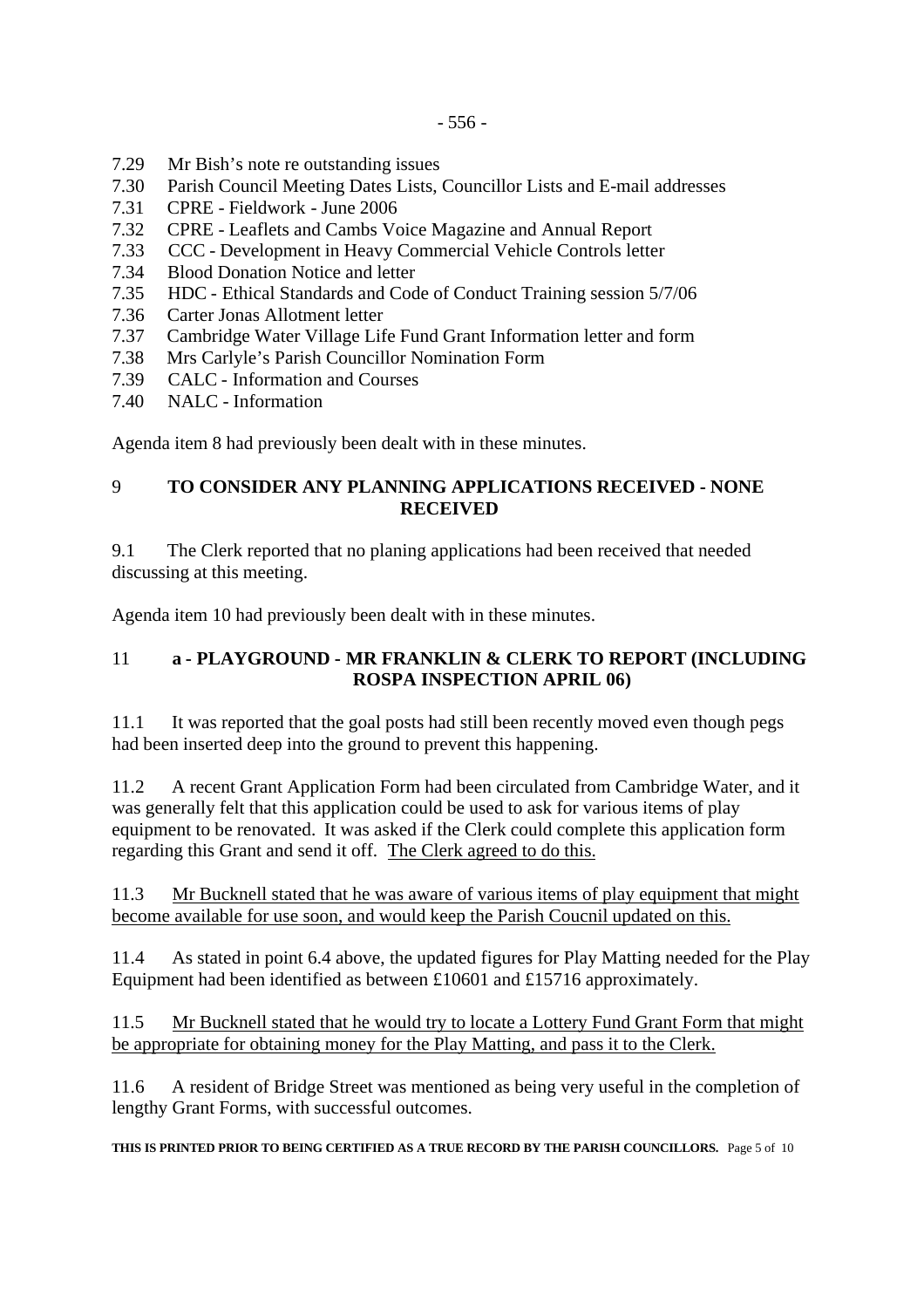- 7.29 Mr Bish's note re outstanding issues
- 7.30 Parish Council Meeting Dates Lists, Councillor Lists and E-mail addresses
- 7.31 CPRE Fieldwork June 2006
- 7.32 CPRE Leaflets and Cambs Voice Magazine and Annual Report
- 7.33 CCC Development in Heavy Commercial Vehicle Controls letter
- 7.34 Blood Donation Notice and letter
- 7.35 HDC Ethical Standards and Code of Conduct Training session 5/7/06
- 7.36 Carter Jonas Allotment letter
- 7.37 Cambridge Water Village Life Fund Grant Information letter and form
- 7.38 Mrs Carlyle's Parish Councillor Nomination Form
- 7.39 CALC Information and Courses
- 7.40 NALC Information

Agenda item 8 had previously been dealt with in these minutes.

#### 9 **TO CONSIDER ANY PLANNING APPLICATIONS RECEIVED - NONE RECEIVED**

9.1 The Clerk reported that no planing applications had been received that needed discussing at this meeting.

Agenda item 10 had previously been dealt with in these minutes.

#### 11 **a - PLAYGROUND - MR FRANKLIN & CLERK TO REPORT (INCLUDING ROSPA INSPECTION APRIL 06)**

11.1 It was reported that the goal posts had still been recently moved even though pegs had been inserted deep into the ground to prevent this happening.

11.2 A recent Grant Application Form had been circulated from Cambridge Water, and it was generally felt that this application could be used to ask for various items of play equipment to be renovated. It was asked if the Clerk could complete this application form regarding this Grant and send it off. The Clerk agreed to do this.

11.3 Mr Bucknell stated that he was aware of various items of play equipment that might become available for use soon, and would keep the Parish Coucnil updated on this.

11.4 As stated in point 6.4 above, the updated figures for Play Matting needed for the Play Equipment had been identified as between £10601 and £15716 approximately.

11.5 Mr Bucknell stated that he would try to locate a Lottery Fund Grant Form that might be appropriate for obtaining money for the Play Matting, and pass it to the Clerk.

11.6 A resident of Bridge Street was mentioned as being very useful in the completion of lengthy Grant Forms, with successful outcomes.

**THIS IS PRINTED PRIOR TO BEING CERTIFIED AS A TRUE RECORD BY THE PARISH COUNCILLORS.** Page 5 of 10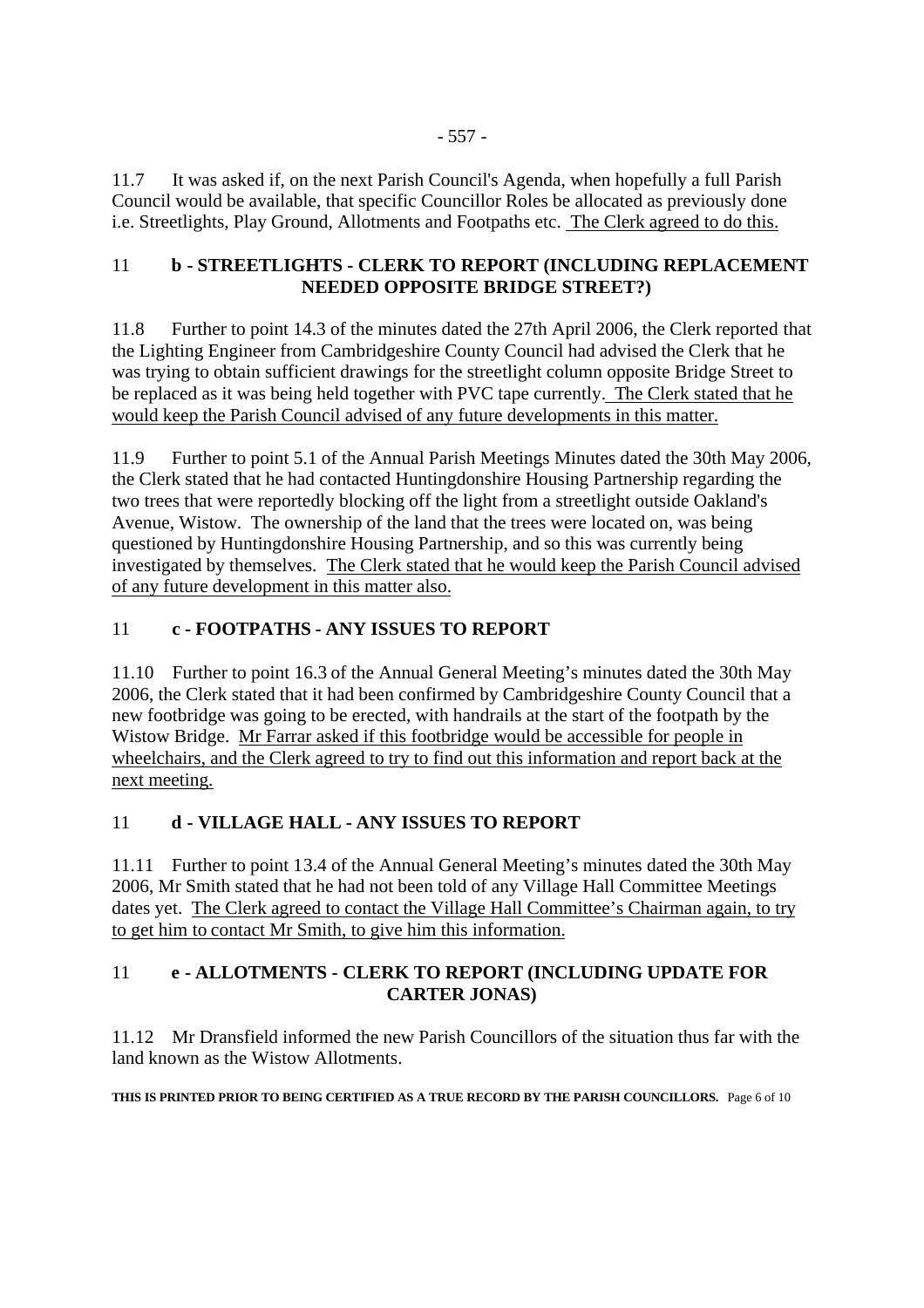11.7 It was asked if, on the next Parish Council's Agenda, when hopefully a full Parish Council would be available, that specific Councillor Roles be allocated as previously done i.e. Streetlights, Play Ground, Allotments and Footpaths etc. The Clerk agreed to do this.

#### 11 **b - STREETLIGHTS - CLERK TO REPORT (INCLUDING REPLACEMENT NEEDED OPPOSITE BRIDGE STREET?)**

11.8 Further to point 14.3 of the minutes dated the 27th April 2006, the Clerk reported that the Lighting Engineer from Cambridgeshire County Council had advised the Clerk that he was trying to obtain sufficient drawings for the streetlight column opposite Bridge Street to be replaced as it was being held together with PVC tape currently. The Clerk stated that he would keep the Parish Council advised of any future developments in this matter.

11.9 Further to point 5.1 of the Annual Parish Meetings Minutes dated the 30th May 2006, the Clerk stated that he had contacted Huntingdonshire Housing Partnership regarding the two trees that were reportedly blocking off the light from a streetlight outside Oakland's Avenue, Wistow. The ownership of the land that the trees were located on, was being questioned by Huntingdonshire Housing Partnership, and so this was currently being investigated by themselves. The Clerk stated that he would keep the Parish Council advised of any future development in this matter also.

## 11 **c - FOOTPATHS - ANY ISSUES TO REPORT**

11.10 Further to point 16.3 of the Annual General Meeting's minutes dated the 30th May 2006, the Clerk stated that it had been confirmed by Cambridgeshire County Council that a new footbridge was going to be erected, with handrails at the start of the footpath by the Wistow Bridge. Mr Farrar asked if this footbridge would be accessible for people in wheelchairs, and the Clerk agreed to try to find out this information and report back at the next meeting.

## 11 **d - VILLAGE HALL - ANY ISSUES TO REPORT**

11.11 Further to point 13.4 of the Annual General Meeting's minutes dated the 30th May 2006, Mr Smith stated that he had not been told of any Village Hall Committee Meetings dates yet. The Clerk agreed to contact the Village Hall Committee's Chairman again, to try to get him to contact Mr Smith, to give him this information.

## 11 **e - ALLOTMENTS - CLERK TO REPORT (INCLUDING UPDATE FOR CARTER JONAS)**

11.12 Mr Dransfield informed the new Parish Councillors of the situation thus far with the land known as the Wistow Allotments.

**THIS IS PRINTED PRIOR TO BEING CERTIFIED AS A TRUE RECORD BY THE PARISH COUNCILLORS.** Page 6 of 10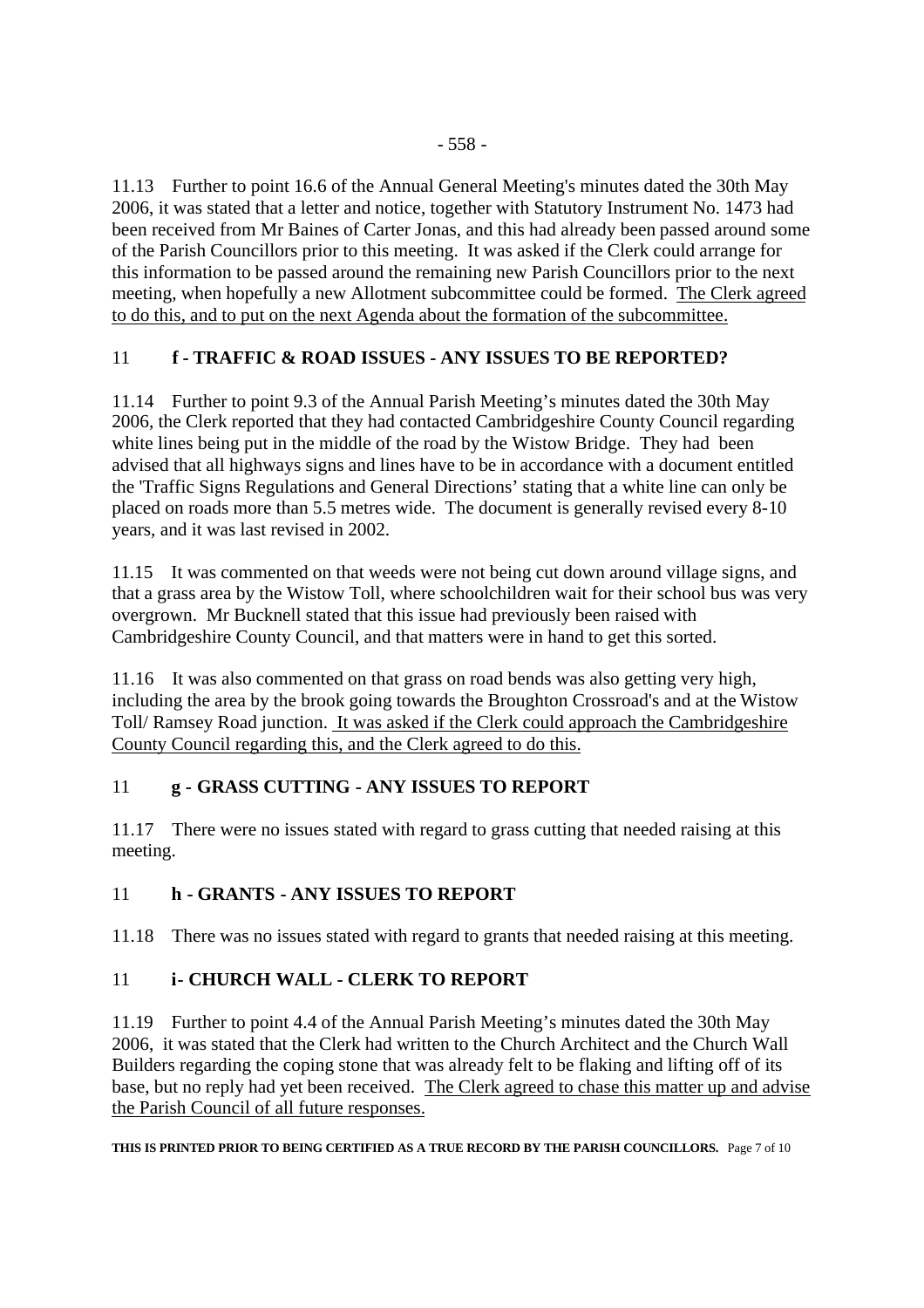11.13 Further to point 16.6 of the Annual General Meeting's minutes dated the 30th May 2006, it was stated that a letter and notice, together with Statutory Instrument No. 1473 had been received from Mr Baines of Carter Jonas, and this had already been passed around some of the Parish Councillors prior to this meeting. It was asked if the Clerk could arrange for this information to be passed around the remaining new Parish Councillors prior to the next meeting, when hopefully a new Allotment subcommittee could be formed. The Clerk agreed to do this, and to put on the next Agenda about the formation of the subcommittee.

## 11 **f - TRAFFIC & ROAD ISSUES - ANY ISSUES TO BE REPORTED?**

11.14 Further to point 9.3 of the Annual Parish Meeting's minutes dated the 30th May 2006, the Clerk reported that they had contacted Cambridgeshire County Council regarding white lines being put in the middle of the road by the Wistow Bridge. They had been advised that all highways signs and lines have to be in accordance with a document entitled the 'Traffic Signs Regulations and General Directions' stating that a white line can only be placed on roads more than 5.5 metres wide. The document is generally revised every 8-10 years, and it was last revised in 2002.

11.15 It was commented on that weeds were not being cut down around village signs, and that a grass area by the Wistow Toll, where schoolchildren wait for their school bus was very overgrown. Mr Bucknell stated that this issue had previously been raised with Cambridgeshire County Council, and that matters were in hand to get this sorted.

11.16 It was also commented on that grass on road bends was also getting very high, including the area by the brook going towards the Broughton Crossroad's and at the Wistow Toll/ Ramsey Road junction. It was asked if the Clerk could approach the Cambridgeshire County Council regarding this, and the Clerk agreed to do this.

## 11 **g - GRASS CUTTING - ANY ISSUES TO REPORT**

11.17 There were no issues stated with regard to grass cutting that needed raising at this meeting.

#### 11 **h - GRANTS - ANY ISSUES TO REPORT**

11.18 There was no issues stated with regard to grants that needed raising at this meeting.

## 11 **i- CHURCH WALL - CLERK TO REPORT**

11.19 Further to point 4.4 of the Annual Parish Meeting's minutes dated the 30th May 2006, it was stated that the Clerk had written to the Church Architect and the Church Wall Builders regarding the coping stone that was already felt to be flaking and lifting off of its base, but no reply had yet been received. The Clerk agreed to chase this matter up and advise the Parish Council of all future responses.

**THIS IS PRINTED PRIOR TO BEING CERTIFIED AS A TRUE RECORD BY THE PARISH COUNCILLORS.** Page 7 of 10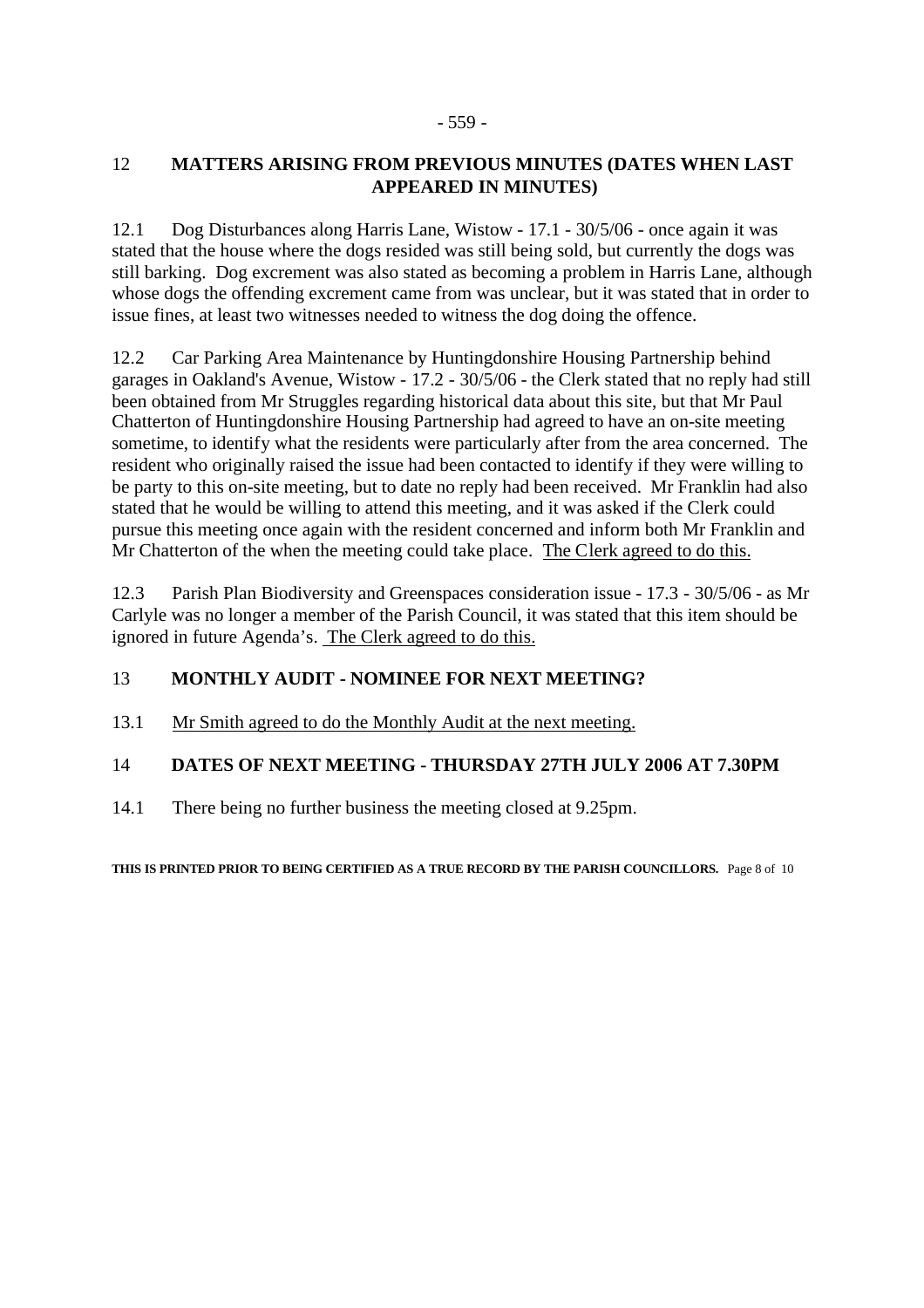## 12 **MATTERS ARISING FROM PREVIOUS MINUTES (DATES WHEN LAST APPEARED IN MINUTES)**

12.1 Dog Disturbances along Harris Lane, Wistow - 17.1 - 30/5/06 - once again it was stated that the house where the dogs resided was still being sold, but currently the dogs was still barking. Dog excrement was also stated as becoming a problem in Harris Lane, although whose dogs the offending excrement came from was unclear, but it was stated that in order to issue fines, at least two witnesses needed to witness the dog doing the offence.

12.2 Car Parking Area Maintenance by Huntingdonshire Housing Partnership behind garages in Oakland's Avenue, Wistow - 17.2 - 30/5/06 - the Clerk stated that no reply had still been obtained from Mr Struggles regarding historical data about this site, but that Mr Paul Chatterton of Huntingdonshire Housing Partnership had agreed to have an on-site meeting sometime, to identify what the residents were particularly after from the area concerned. The resident who originally raised the issue had been contacted to identify if they were willing to be party to this on-site meeting, but to date no reply had been received. Mr Franklin had also stated that he would be willing to attend this meeting, and it was asked if the Clerk could pursue this meeting once again with the resident concerned and inform both Mr Franklin and Mr Chatterton of the when the meeting could take place. The Clerk agreed to do this.

12.3 Parish Plan Biodiversity and Greenspaces consideration issue - 17.3 - 30/5/06 - as Mr Carlyle was no longer a member of the Parish Council, it was stated that this item should be ignored in future Agenda's. The Clerk agreed to do this.

# 13 **MONTHLY AUDIT - NOMINEE FOR NEXT MEETING?**

13.1 Mr Smith agreed to do the Monthly Audit at the next meeting.

# 14 **DATES OF NEXT MEETING - THURSDAY 27TH JULY 2006 AT 7.30PM**

14.1 There being no further business the meeting closed at 9.25pm.

**THIS IS PRINTED PRIOR TO BEING CERTIFIED AS A TRUE RECORD BY THE PARISH COUNCILLORS.** Page 8 of 10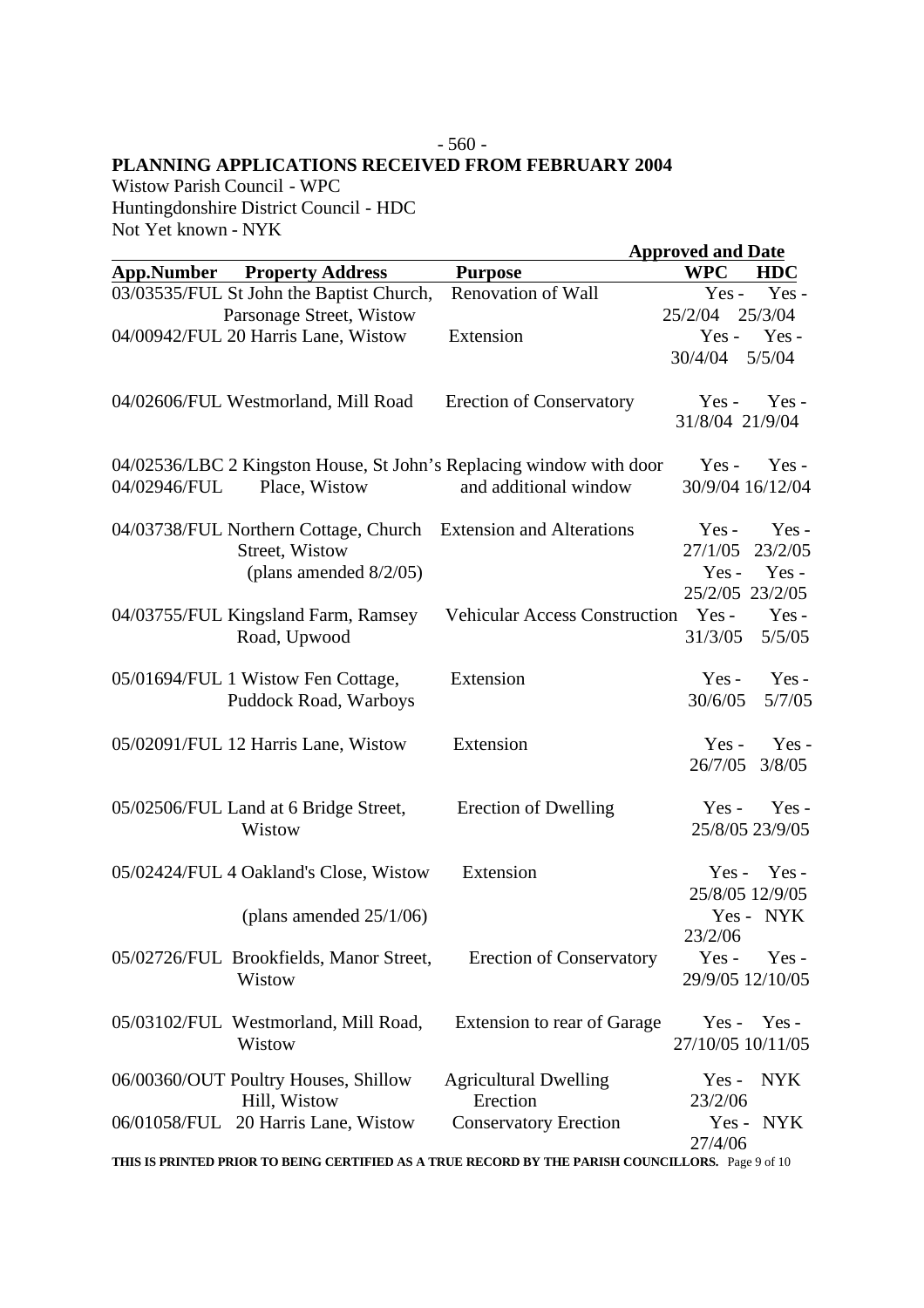# - 560 -

**PLANNING APPLICATIONS RECEIVED FROM FEBRUARY 2004**

Wistow Parish Council - WPC Huntingdonshire District Council - HDC Not Yet known - NYK

|                   |                                                                                                                |                                                                                                   | <b>Approved and Date</b>                                       |
|-------------------|----------------------------------------------------------------------------------------------------------------|---------------------------------------------------------------------------------------------------|----------------------------------------------------------------|
| <b>App.Number</b> | <b>Property Address</b>                                                                                        | <b>Purpose</b>                                                                                    | <b>WPC</b><br><b>HDC</b>                                       |
|                   | 03/03535/FUL St John the Baptist Church,                                                                       | <b>Renovation of Wall</b>                                                                         | Yes-<br>$Yes -$                                                |
|                   | Parsonage Street, Wistow                                                                                       |                                                                                                   | 25/2/04<br>25/3/04                                             |
|                   | 04/00942/FUL 20 Harris Lane, Wistow                                                                            | Extension                                                                                         | Yes-<br>$Yes -$                                                |
|                   |                                                                                                                |                                                                                                   | 5/5/04<br>30/4/04                                              |
|                   | 04/02606/FUL Westmorland, Mill Road                                                                            | <b>Erection of Conservatory</b>                                                                   | $Yes -$<br>$Yes -$<br>31/8/04 21/9/04                          |
|                   |                                                                                                                | 04/02536/LBC 2 Kingston House, St John's Replacing window with door                               | $Yes -$<br>$Yes -$                                             |
| 04/02946/FUL      | Place, Wistow                                                                                                  | and additional window                                                                             | 30/9/04 16/12/04                                               |
|                   | 04/03738/FUL Northern Cottage, Church Extension and Alterations<br>Street, Wistow<br>(plans amended $8/2/05$ ) |                                                                                                   | $Yes -$<br>$Yes -$<br>23/2/05<br>27/1/05<br>$Yes -$<br>$Yes -$ |
|                   | 04/03755/FUL Kingsland Farm, Ramsey<br>Road, Upwood                                                            | <b>Vehicular Access Construction</b>                                                              | 25/2/05 23/2/05<br>$Yes -$<br>Yes-<br>31/3/05<br>5/5/05        |
|                   | 05/01694/FUL 1 Wistow Fen Cottage,<br>Puddock Road, Warboys                                                    | Extension                                                                                         | $Yes -$<br>$Yes -$<br>5/7/05<br>30/6/05                        |
|                   | 05/02091/FUL 12 Harris Lane, Wistow                                                                            | Extension                                                                                         | Yes-<br>$Yes -$<br>26/7/05<br>3/8/05                           |
|                   | 05/02506/FUL Land at 6 Bridge Street,<br>Wistow                                                                | Erection of Dwelling                                                                              | $Yes -$<br>$Yes -$<br>25/8/05 23/9/05                          |
|                   | 05/02424/FUL 4 Oakland's Close, Wistow                                                                         | Extension                                                                                         | Yes-<br>$Yes -$<br>25/8/05 12/9/05                             |
|                   | (plans amended $25/1/06$ )                                                                                     |                                                                                                   | Yes - NYK<br>23/2/06                                           |
|                   | 05/02726/FUL Brookfields, Manor Street,<br>Wistow                                                              | <b>Erection of Conservatory</b>                                                                   | $Yes -$<br>$Yes -$<br>29/9/05 12/10/05                         |
|                   | 05/03102/FUL Westmorland, Mill Road,<br>Wistow                                                                 | Extension to rear of Garage                                                                       | $Yes - Yes -$<br>27/10/05 10/11/05                             |
|                   | 06/00360/OUT Poultry Houses, Shillow<br>Hill, Wistow                                                           | <b>Agricultural Dwelling</b><br>Erection                                                          | NYK<br>$Yes -$<br>23/2/06                                      |
|                   | 06/01058/FUL 20 Harris Lane, Wistow                                                                            | <b>Conservatory Erection</b>                                                                      | Yes - NYK<br>27/4/06                                           |
|                   |                                                                                                                | THIS IS PRINTED PRIOR TO BEING CERTIFIED AS A TRUE RECORD BY THE PARISH COUNCILLORS. Page 9 of 10 |                                                                |